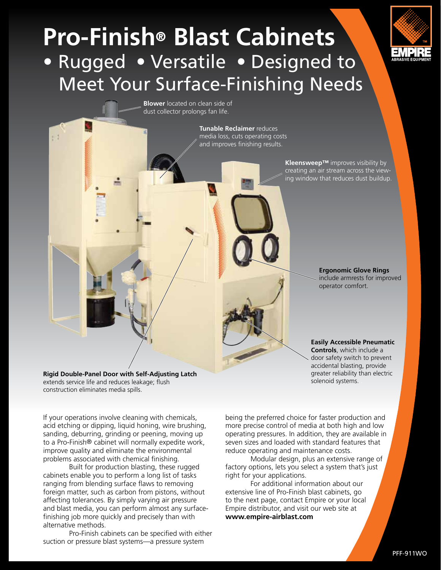# **Pro-Finish**® **Blast Cabinets** • Rugged • Versatile • Designed to Meet Your Surface-Finishing Needs



**Blower** located on clean side of dust collector prolongs fan life.

> **Tunable Reclaimer** reduces media loss, cuts operating costs and improves finishing results.

> > **Kleensweep™** improves visibility by creating an air stream across the viewing window that reduces dust buildup.

> > > **Ergonomic Glove Rings**  include armrests for improved operator comfort.

**Easily Accessible Pneumatic Controls**, which include a door safety switch to prevent accidental blasting, provide greater reliability than electric solenoid systems. .

If your operations involve cleaning with chemicals, acid etching or dipping, liquid honing, wire brushing, sanding, deburring, grinding or peening, moving up to a Pro-Finish® cabinet will normally expedite work, improve quality and eliminate the environmental problems associated with chemical finishing.

**Rigid Double-Panel Door with Self-Adjusting Latch**

extends service life and reduces leakage; flush

construction eliminates media spills.

Built for production blasting, these rugged cabinets enable you to perform a long list of tasks ranging from blending surface flaws to removing foreign matter, such as carbon from pistons, without affecting tolerances. By simply varying air pressure and blast media, you can perform almost any surfacefinishing job more quickly and precisely than with alternative methods.

Pro-Finish cabinets can be specified with either suction or pressure blast systems—a pressure system

being the preferred choice for faster production and more precise control of media at both high and low operating pressures. In addition, they are available in seven sizes and loaded with standard features that reduce operating and maintenance costs.

Modular design, plus an extensive range of factory options, lets you select a system that's just right for your applications.

For additional information about our extensive line of Pro-Finish blast cabinets, go to the next page, contact Empire or your local Empire distributor, and visit our web site at **www.empire-airblast.com**